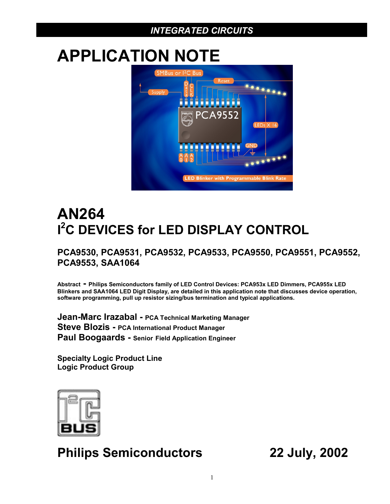# **APPLICATION NOTE**



# **AN264 I 2 C DEVICES for LED DISPLAY CONTROL**

# **PCA9530, PCA9531, PCA9532, PCA9533, PCA9550, PCA9551, PCA9552, PCA9553, SAA1064**

**Abstract - Philips Semiconductors family of LED Control Devices: PCA953x LED Dimmers, PCA955x LED Blinkers and SAA1064 LED Digit Display, are detailed in this application note that discusses device operation, software programming, pull up resistor sizing/bus termination and typical applications.**

**Jean-Marc Irazabal - PCA Technical Marketing Manager Steve Blozis - PCA International Product Manager Paul Boogaards - Senior Field Application Engineer**

**Specialty Logic Product Line Logic Product Group**



# **Philips Semiconductors 22 July, 2002**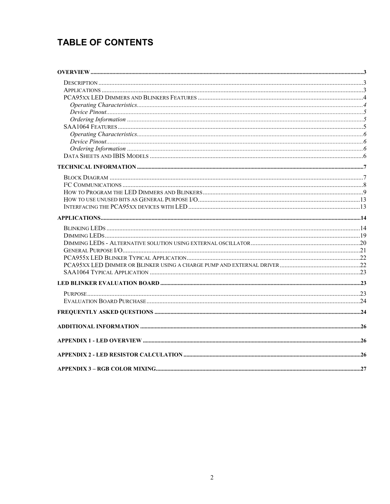# **TABLE OF CONTENTS**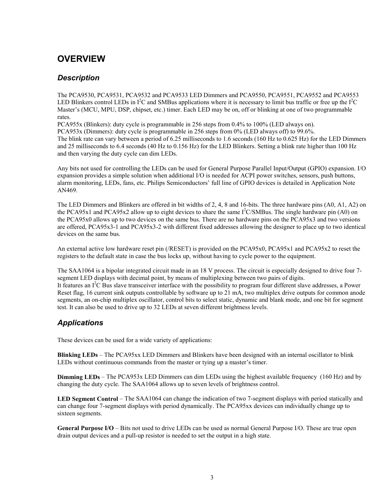# <span id="page-2-0"></span>**OVERVIEW**

### *Description*

The PCA9530, PCA9531, PCA9532 and PCA9533 LED Dimmers and PCA9550, PCA9551, PCA9552 and PCA9553 LED Blinkers control LEDs in  $I^2C$  and SMBus applications where it is necessary to limit bus traffic or free up the  $I^2C$ Master's (MCU, MPU, DSP, chipset, etc.) timer. Each LED may be on, off or blinking at one of two programmable rates.

PCA955x (Blinkers): duty cycle is programmable in 256 steps from 0.4% to 100% (LED always on). PCA953x (Dimmers): duty cycle is programmable in 256 steps from 0% (LED always off) to 99.6%.

The blink rate can vary between a period of 6.25 milliseconds to 1.6 seconds (160 Hz to 0.625 Hz) for the LED Dimmers and 25 milliseconds to 6.4 seconds (40 Hz to 0.156 Hz) for the LED Blinkers. Setting a blink rate higher than 100 Hz and then varying the duty cycle can dim LEDs.

Any bits not used for controlling the LEDs can be used for General Purpose Parallel Input/Output (GPIO) expansion. I/O expansion provides a simple solution when additional I/O is needed for ACPI power switches, sensors, push buttons, alarm monitoring, LEDs, fans, etc. Philips Semiconductors' full line of GPIO devices is detailed in Application Note AN469.

The LED Dimmers and Blinkers are offered in bit widths of 2, 4, 8 and 16-bits. The three hardware pins (A0, A1, A2) on the PCA95x1 and PCA95x2 allow up to eight devices to share the same  $I^2C/SMBus$ . The single hardware pin (A0) on the PCA95x0 allows up to two devices on the same bus. There are no hardware pins on the PCA95x3 and two versions are offered, PCA95x3-1 and PCA95x3-2 with different fixed addresses allowing the designer to place up to two identical devices on the same bus.

An external active low hardware reset pin (/RESET) is provided on the PCA95x0, PCA95x1 and PCA95x2 to reset the registers to the default state in case the bus locks up, without having to cycle power to the equipment.

The SAA1064 is a bipolar integrated circuit made in an 18 V process. The circuit is especially designed to drive four 7 segment LED displays with decimal point, by means of multiplexing between two pairs of digits. It features an I<sup>2</sup>C Bus slave transceiver interface with the possibility to program four different slave addresses, a Power Reset flag, 16 current sink outputs controllable by software up to 21 mA, two multiplex drive outputs for common anode segments, an on-chip multiplex oscillator, control bits to select static, dynamic and blank mode, and one bit for segment test. It can also be used to drive up to 32 LEDs at seven different brightness levels.

# *Applications*

These devices can be used for a wide variety of applications:

**Blinking LEDs** – The PCA95xx LED Dimmers and Blinkers have been designed with an internal oscillator to blink LEDs without continuous commands from the master or tying up a master's timer.

**Dimming LEDs** – The PCA953x LED Dimmers can dim LEDs using the highest available frequency (160 Hz) and by changing the duty cycle. The SAA1064 allows up to seven levels of brightness control.

**LED Segment Control** – The SAA1064 can change the indication of two 7-segment displays with period statically and can change four 7-segment displays with period dynamically. The PCA95xx devices can individually change up to sixteen segments.

**General Purpose I/O** – Bits not used to drive LEDs can be used as normal General Purpose I/O. These are true open drain output devices and a pull-up resistor is needed to set the output in a high state.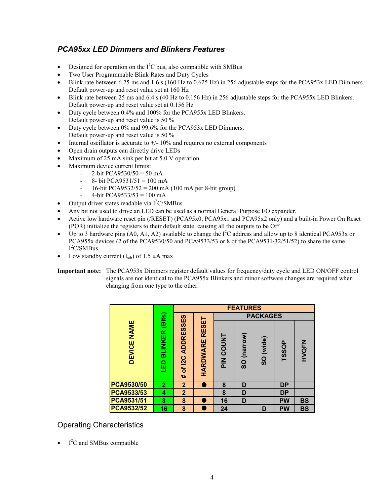# <span id="page-3-0"></span>*PCA95xx LED Dimmers and Blinkers Features*

- Designed for operation on the  $I^2C$  bus, also compatible with SMBus
- Two User Programmable Blink Rates and Duty Cycles
- Blink rate between  $6.25$  ms and  $1.6$  s (160 Hz to  $0.625$  Hz) in 256 adjustable steps for the PCA953x LED Dimmers. Default power-up and reset value set at 160 Hz
- Blink rate between 25 ms and 6.4 s (40 Hz to 0.156 Hz) in 256 adjustable steps for the PCA955x LED Blinkers. Default power-up and reset value set at 0.156 Hz
- Duty cycle between 0.4% and 100% for the PCA955x LED Blinkers. Default power-up and reset value is 50 %
- Duty cycle between 0% and 99.6% for the PCA953x LED Dimmers. Default power-up and reset value is 50 %
- Internal oscillator is accurate to  $+/$  10% and requires no external components
- Open drain outputs can directly drive LEDs
- Maximum of 25 mA sink per bit at 5.0 V operation
- Maximum device current limits:
	- 2-bit PCA9530/50 = 50 mA
	- 8- bit PCA9531/51 = 100 mA
	- 16-bit PCA9532/52 = 200 mA (100 mA per 8-bit group)
	- 4-bit PCA9533/53 =  $100 \text{ mA}$
- Output driver states readable via  $I<sup>2</sup>C/SMBus$
- Any bit not used to drive an LED can be used as a normal General Purpose I/O expander.
- Active low hardware reset pin (/RESET) (PCA95x0, PCA95x1 and PCA95x2 only) and a built-in Power On Reset (POR) initialize the registers to their default state, causing all the outputs to be Off
- Up to 3 hardware pins (A0, A1, A2) available to change the  $I^2C$  address and allow up to 8 identical PCA953x or PCA955x devices (2 of the PCA9530/50 and PCA9533/53 or 8 of the PCA9531/32/51/52) to share the same I 2 C/SMBus.
- Low standby current  $(I_{\rm stb})$  of 1.5  $\mu$ A max

**Important note:** The PCA953x Dimmers register default values for frequency/duty cycle and LED ON/OFF control signals are not identical to the PCA955x Blinkers and minor software changes are required when changing from one type to the other.

|                              |                                        |                                 |                          |           | <b>FEATURES</b>       |                 |              |              |
|------------------------------|----------------------------------------|---------------------------------|--------------------------|-----------|-----------------------|-----------------|--------------|--------------|
|                              |                                        |                                 |                          |           |                       | <b>PACKAGES</b> |              |              |
| <b>NAME</b><br><b>DEVICE</b> | (Bits)<br><b>BLINKER</b><br><b>Gar</b> | <b>ADDRESSES</b><br>of I2C<br># | RESET<br><b>HARDWARE</b> | PIN COUNT | (narrow)<br><b>OS</b> | SO (wide)       | <b>TSSOP</b> | <b>NAOKH</b> |
| PCA9530/50                   | $\overline{2}$                         | $\overline{2}$                  |                          | 8         | D                     |                 | DP           |              |
| PCA9533/53                   | 4                                      | $\overline{2}$                  |                          | 8         | D                     |                 | <b>DP</b>    |              |
| PCA9531/51                   | 8                                      | 8                               |                          | 16        | D                     |                 | <b>PW</b>    | <b>BS</b>    |
| <b>PCA9532/52</b>            | 16                                     | 8                               |                          | 24        |                       | D               | <b>PW</b>    | <b>BS</b>    |

## Operating Characteristics

 $\bullet$  I<sup>2</sup>C and SMBus compatible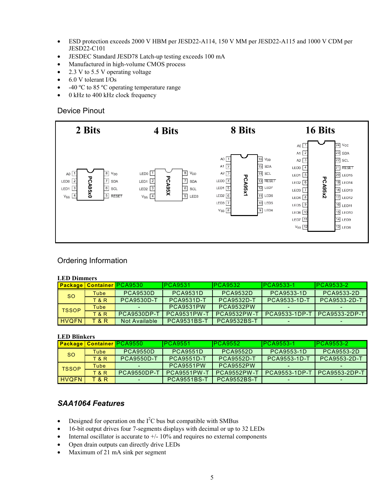- <span id="page-4-0"></span>• ESD protection exceeds 2000 V HBM per JESD22-A114, 150 V MM per JESD22-A115 and 1000 V CDM per JESD22-C101
- JESDEC Standard JESD78 Latch-up testing exceeds 100 mA
- Manufactured in high-volume CMOS process
- 2.3 V to 5.5 V operating voltage
- 6.0 V tolerant I/Os
- -40 °C to 85 °C operating temperature range
- 0 kHz to 400 kHz clock frequency

#### Device Pinout



### Ordering Information

#### **LED Dimmers**

|              |                | <b>Package   Container   PCA9530  </b> | PCA9531            | PCA9532            | <b>IPCA9533-1</b>   | $PCA9533-2$       |
|--------------|----------------|----------------------------------------|--------------------|--------------------|---------------------|-------------------|
| <b>SO</b>    | Tube           | <b>PCA9530D</b>                        | <b>PCA9531D</b>    | <b>PCA9532D</b>    | PCA9533-1D          | <b>PCA9533-2D</b> |
|              | <b>T&amp;R</b> | <b>PCA9530D-T</b>                      | <b>PCA9531D-T</b>  | <b>PCA9532D-T</b>  | <b>PCA9533-1D-T</b> | PCA9533-2D-T      |
| <b>TSSOP</b> | Tube           |                                        | PCA9531PW          | <b>PCA9532PW</b>   |                     |                   |
|              | <b>T&amp;R</b> | <b>PCA9530DP-T</b>                     | <b>PCA9531PW-T</b> | <b>PCA9532PW-T</b> | PCA9533-1DP-T       | PCA9533-2DP-T     |
| <b>HVOFN</b> | T & R          | Not Available                          | <b>PCA9531BS-T</b> | <b>PCA9532BS-T</b> |                     |                   |

#### **LED Blinkers**

|              |                | <b>Package Container PCA9550</b> | PCA9551            | PCA9552            | <b>IPCA9553-1</b>   | $PCA9553-2$   |
|--------------|----------------|----------------------------------|--------------------|--------------------|---------------------|---------------|
| <b>SO</b>    | Tube           | <b>PCA9550D</b>                  | <b>PCA9551D</b>    | <b>PCA9552D</b>    | PCA9553-1D          | PCA9553-2D    |
|              | <b>T&amp;R</b> | <b>PCA9550D-T</b>                | <b>PCA9551D-T</b>  | <b>PCA9552D-T</b>  | <b>PCA9553-1D-T</b> | PCA9553-2D-T  |
| <b>TSSOP</b> | Tube           |                                  | <b>PCA9551PW</b>   | <b>PCA9552PW</b>   |                     |               |
|              | T&R            | <b>PCA9550DP-T</b>               | <b>PCA9551PW-T</b> | <b>PCA9552PW-T</b> | PCA9553-1DP-T       | PCA9553-2DP-T |
| <b>HVOFN</b> | <b>T&amp;R</b> |                                  | <b>PCA9551BS-T</b> | <b>PCA9552BS-T</b> |                     |               |

### *SAA1064 Features*

- Designed for operation on the  $I^2C$  bus but compatible with SMBus
- 16-bit output drives four 7-segments displays with decimal or up to 32 LEDs
- Internal oscillator is accurate to  $+/$  10% and requires no external components
- Open drain outputs can directly drive LEDs
- Maximum of 21 mA sink per segment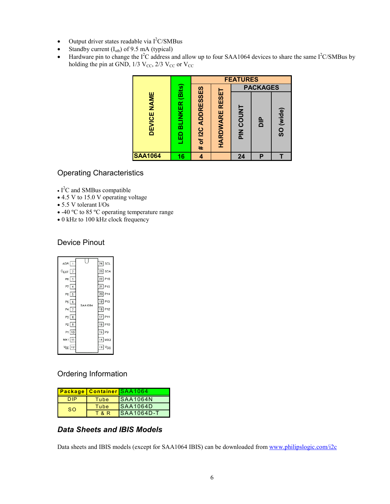- <span id="page-5-0"></span>• Output driver states readable via  $I<sup>2</sup>C/SMBus$
- Standby current  $(I_{\text{stb}})$  of 9.5 mA (typical)
- Hardware pin to change the  $I^2C$  address and allow up to four SAA1064 devices to share the same  $I^2C/SMB$ us by holding the pin at GND,  $1/3$  V<sub>CC</sub>,  $2/3$  V<sub>CC</sub> or V<sub>CC</sub>

|                |                                   |                    |                       | <b>FEATURES</b>  |                 |           |
|----------------|-----------------------------------|--------------------|-----------------------|------------------|-----------------|-----------|
|                |                                   |                    |                       |                  | <b>PACKAGES</b> |           |
| DEVICE NAME    | <b>BLINKER (Bits)</b><br><u>G</u> | # of I2C ADDRESSES | <b>HARDWARE RESET</b> | <b>PIN COUNT</b> | $\frac{P}{Q}$   | SO (wide) |
| <b>SAA1064</b> | 16                                | 4                  |                       | 24               | Ρ               |           |

# Operating Characteristics

- $\cdot$  I<sup>2</sup>C and SMBus compatible
- 4.5 V to 15.0 V operating voltage
- 5.5 V tolerant I/Os
- -40 ºC to 85 ºC operating temperature range
- 0 kHz to 100 kHz clock frequency

## Device Pinout

| ADR 1             |         | 24 SCL             |
|-------------------|---------|--------------------|
| $C_{EXT}$ 2       |         | 23 SDA             |
| P8 3              |         | 22 P16             |
| P7 4              |         | 21 P15             |
| $P6$ 5            |         | 20 P <sub>14</sub> |
| P566              | SAA1064 | 19 P13             |
| $P4$ 7            |         | 18 P12             |
| $P3 \overline{8}$ |         | 17 P11             |
| P2 9              |         | 16 P10             |
| P1 10             |         | 15 P9              |
| MX1 11            |         | 14 MX2             |
| $V_{EE}$ 12       |         | 13 V <sub>CC</sub> |

# Ordering Information

|           | <b>Package   Container SAA1064</b> |                    |
|-----------|------------------------------------|--------------------|
|           | Tube                               | <b>SAA1064N</b>    |
| <b>SO</b> | Tube                               | <b>ISAA1064D</b>   |
|           | T & R                              | <b>ISAA1064D-T</b> |

# *Data Sheets and IBIS Models*

Data sheets and IBIS models (except for SAA1064 IBIS) can be downloaded from [www.philipslogic.com/i2c](http://www.philipslogic.com/i2c)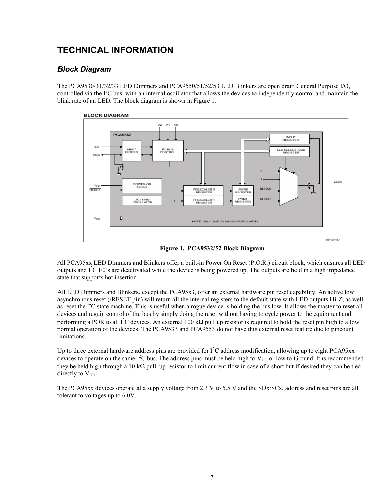# <span id="page-6-0"></span>**TECHNICAL INFORMATION**

# *Block Diagram*

The PCA9530/31/32/33 LED Dimmers and PCA9550/51/52/53 LED Blinkers are open drain General Purpose I/O, controlled via the I²C bus, with an internal oscillator that allows the devices to independently control and maintain the blink rate of an LED. The block diagram is shown in Figure 1.



**Figure 1. PCA9532/52 Block Diagram**

All PCA95xx LED Dimmers and Blinkers offer a built-in Power On Reset (P.O.R.) circuit block, which ensures all LED outputs and  $I^2C$  I/0's are deactivated while the device is being powered up. The outputs are held in a high impedance state that supports hot insertion.

All LED Dimmers and Blinkers, except the PCA95x3, offer an external hardware pin reset capability. An active low asynchronous reset (/RESET pin) will return all the internal registers to the default state with LED outputs Hi-Z, as well as reset the I²C state machine. This is useful when a rogue device is holding the bus low. It allows the master to reset all devices and regain control of the bus by simply doing the reset without having to cycle power to the equipment and performing a POR to all I<sup>2</sup>C devices. An external 100 kΩ pull up resistor is required to hold the reset pin high to allow normal operation of the devices. The PCA9533 and PCA9553 do not have this external reset feature due to pincount limitations.

Up to three external hardware address pins are provided for  $I^2C$  address modification, allowing up to eight PCA95xx devices to operate on the same  $I^2C$  bus. The address pins must be held high to  $V_{DD}$  or low to Ground. It is recommended they be held high through a 10 k $\Omega$  pull–up resistor to limit current flow in case of a short but if desired they can be tied directly to  $V_{DD}$ .

The PCA95xx devices operate at a supply voltage from 2.3 V to 5.5 V and the SDx/SCx, address and reset pins are all tolerant to voltages up to 6.0V.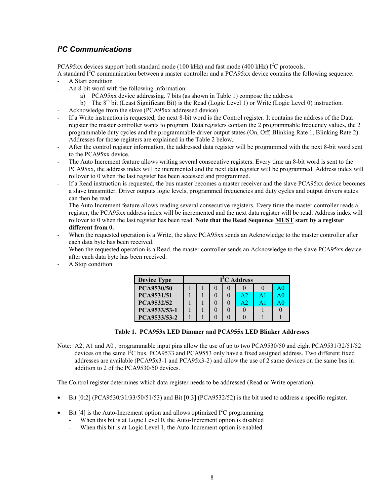# <span id="page-7-0"></span>*I²C Communications*

PCA95xx devices support both standard mode (100 kHz) and fast mode (400 kHz)  $I<sup>2</sup>C$  protocols.

A standard  $I<sup>2</sup>C$  communication between a master controller and a PCA95xx device contains the following sequence: A Start condition

- An 8-bit word with the following information:
	- a) PCA95xx device addressing. 7 bits (as shown in Table 1) compose the address.
	- b) The  $8<sup>th</sup>$  bit (Least Significant Bit) is the Read (Logic Level 1) or Write (Logic Level 0) instruction.
- Acknowledge from the slave (PCA95xx addressed device)
- If a Write instruction is requested, the next 8-bit word is the Control register. It contains the address of the Data register the master controller wants to program. Data registers contain the 2 programmable frequency values, the 2 programmable duty cycles and the programmable driver output states (On, Off, Blinking Rate 1, Blinking Rate 2). Addresses for those registers are explained in the Table 2 below.
- After the control register information, the addressed data register will be programmed with the next 8-bit word sent to the PCA95xx device.
- The Auto Increment feature allows writing several consecutive registers. Every time an 8-bit word is sent to the PCA95xx, the address index will be incremented and the next data register will be programmed. Address index will rollover to 0 when the last register has been accessed and programmed.
- If a Read instruction is requested, the bus master becomes a master receiver and the slave PCA95xx device becomes a slave transmitter. Driver outputs logic levels, programmed frequencies and duty cycles and output drivers states can then be read.

The Auto Increment feature allows reading several consecutive registers. Every time the master controller reads a register, the PCA95xx address index will be incremented and the next data register will be read. Address index will rollover to 0 when the last register has been read. **Note that the Read Sequence MUST start by a register different from 0.**

- When the requested operation is a Write, the slave PCA95xx sends an Acknowledge to the master controller after each data byte has been received.
- When the requested operation is a Read, the master controller sends an Acknowledge to the slave PCA95xx device after each data byte has been received.
- A Stop condition.

| <b>Device Type</b> | I <sup>2</sup> C Address |  |  |                |    |    |  |
|--------------------|--------------------------|--|--|----------------|----|----|--|
| PCA9530/50         |                          |  |  |                |    | AU |  |
| PCA9531/51         |                          |  |  | A <sub>2</sub> | A1 |    |  |
| PCA9532/52         |                          |  |  | A <sub>2</sub> |    | AO |  |
| PCA9533/53-1       |                          |  |  |                |    |    |  |
| PCA9533/53-2       |                          |  |  |                |    |    |  |

**Table 1. PCA953x LED Dimmer and PCA955x LED Blinker Addresses**

Note: A2, A1 and A0 , programmable input pins allow the use of up to two PCA9530/50 and eight PCA9531/32/51/52 devices on the same  $\vec{l}^2$ C bus. PCA9533 and PCA9553 only have a fixed assigned address. Two different fixed addresses are available (PCA95x3-1 and PCA95x3-2) and allow the use of 2 same devices on the same bus in addition to 2 of the PCA9530/50 devices.

The Control register determines which data register needs to be addressed (Read or Write operation).

- Bit [0:2] (PCA9530/31/33/50/51/53) and Bit [0:3] (PCA9532/52) is the bit used to address a specific register.
- Bit [4] is the Auto-Increment option and allows optimized  $I^2C$  programming.
	- When this bit is at Logic Level 0, the Auto-Increment option is disabled
	- When this bit is at Logic Level 1, the Auto-Increment option is enabled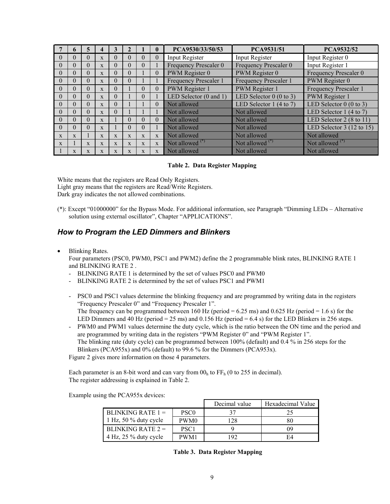<span id="page-8-0"></span>

|              |              | 5              | 4            | 3            |              |              |              | PCA9530/33/50/53                  | <b>PCA9531/51</b>        | PCA9532/52                          |
|--------------|--------------|----------------|--------------|--------------|--------------|--------------|--------------|-----------------------------------|--------------------------|-------------------------------------|
| $\Omega$     | $\theta$     | 0              | $\mathbf{X}$ | $\Omega$     | 0            | $\theta$     | $\theta$     | Input Register                    | Input Register           | Input Register 0                    |
| $\Omega$     | $\Omega$     | 0              | $\mathbf{x}$ | $\Omega$     | $\Omega$     | $\theta$     |              | Frequency Prescaler 0             | Frequency Prescaler 0    | Input Register 1                    |
| $\theta$     | $\Omega$     | $\Omega$       | $\mathbf{x}$ | $\Omega$     | $\theta$     |              | $\theta$     | PWM Register 0                    | PWM Register 0           | Frequency Prescaler 0               |
| $\Omega$     | $\Omega$     | $\overline{0}$ | $\mathbf{x}$ | $\Omega$     | $\theta$     |              |              | Frequency Prescaler 1             | Frequency Prescaler 1    | PWM Register 0                      |
| $\Omega$     | $\Omega$     | 0              | $\mathbf{x}$ | $\theta$     |              | $\theta$     | $\theta$     | <b>PWM</b> Register 1             | PWM Register 1           | Frequency Prescaler 1               |
| $\theta$     | $\Omega$     | $\theta$       | $\mathbf{x}$ | $\Omega$     |              | $\Omega$     |              | LED Selector $(0 \text{ and } 1)$ | LED Selector $0(0 to 3)$ | <b>PWM</b> Register 1               |
| $\Omega$     | $\Omega$     | 0              | $\mathbf{x}$ | $\Omega$     |              |              | $\Omega$     | Not allowed                       | LED Selector $1(4 to 7)$ | LED Selector $0$ (0 to 3)           |
| $\theta$     | $\Omega$     | $\Omega$       | $\mathbf{x}$ | $\Omega$     |              |              |              | Not allowed                       | Not allowed              | LED Selector 1 (4 to 7)             |
| $\Omega$     | $\Omega$     | $\overline{0}$ | $\mathbf{x}$ |              | $\Omega$     | $\theta$     | $\Omega$     | Not allowed                       | Not allowed              | LED Selector $2(8 \text{ to } 11)$  |
| $\Omega$     | $\Omega$     | $\Omega$       | $\mathbf{x}$ |              | $\Omega$     | $\theta$     |              | Not allowed                       | Not allowed              | LED Selector $3(12 \text{ to } 15)$ |
| $\mathbf{x}$ | $\mathbf{x}$ |                | X            | $\mathbf{x}$ | $\mathbf{x}$ | $\mathbf{x}$ | $\mathbf{x}$ | Not allowed                       | Not allowed              | Not allowed                         |
| $\mathbf{x}$ |              | $\mathbf{x}$   | $\mathbf{X}$ | $\mathbf{x}$ | X            | $\mathbf{x}$ | $\mathbf{x}$ | Not allowed $(*)$                 | Not allowed $(*)$        | Not allowed $(*)$                   |
|              | X            | $\mathbf{X}$   | $\mathbf{X}$ | X            | $\mathbf x$  | X            | $\mathbf{x}$ | Not allowed                       | Not allowed              | Not allowed                         |

#### **Table 2. Data Register Mapping**

White means that the registers are Read Only Registers. Light gray means that the registers are Read/Write Registers. Dark gray indicates the not allowed combinations.

(\*): Except "01000000" for the Bypass Mode. For additional information, see Paragraph "Dimming LEDs – Alternative solution using external oscillator", Chapter "APPLICATIONS".

### *How to Program the LED Dimmers and Blinkers*

• Blinking Rates.

Four parameters (PSC0, PWM0, PSC1 and PWM2) define the 2 programmable blink rates, BLINKING RATE 1 and BLINKING RATE 2 .

- BLINKING RATE 1 is determined by the set of values PSC0 and PWM0
- BLINKING RATE 2 is determined by the set of values PSC1 and PWM1
- PSC0 and PSC1 values determine the blinking frequency and are programmed by writing data in the registers "Frequency Prescaler 0" and "Frequency Prescaler 1". The frequency can be programmed between  $160$  Hz (period = 6.25 ms) and 0.625 Hz (period = 1.6 s) for the LED Dimmers and 40 Hz (period = 25 ms) and 0.156 Hz (period = 6.4 s) for the LED Blinkers in 256 steps.
- PWM0 and PWM1 values determine the duty cycle, which is the ratio between the ON time and the period and are programmed by writing data in the registers "PWM Register 0" and "PWM Register 1". The blinking rate (duty cycle) can be programmed between 100% (default) and 0.4 % in 256 steps for the Blinkers (PCA955x) and 0% (default) to 99.6 % for the Dimmers (PCA953x).

Figure 2 gives more information on those 4 parameters.

Each parameter is an 8-bit word and can vary from  $00<sub>h</sub>$  to FF<sub>h</sub> (0 to 255 in decimal). The register addressing is explained in Table 2.

Example using the PCA955x devices:

|                          |                  | Decimal value | Hexadecimal Value |
|--------------------------|------------------|---------------|-------------------|
| BLINKING RATE $1 =$      | PSC <sub>0</sub> |               |                   |
| 1 Hz, 50 $\%$ duty cycle | PWM <sub>0</sub> | 128           | 80                |
| BLINKING RATE $2 =$      | PSC <sub>1</sub> |               | 09                |
| 4 Hz, 25 % duty cycle    | PWM1             | 192           | F4                |

**Table 3. Data Register Mapping**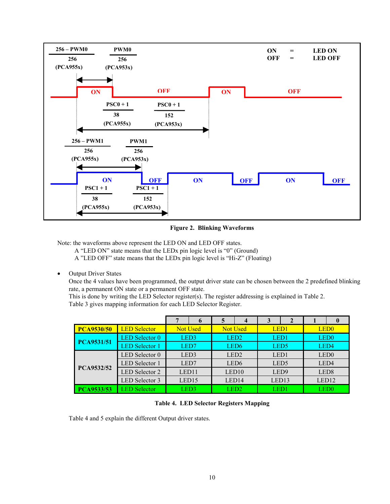

#### **Figure 2. Blinking Waveforms**

Note: the waveforms above represent the LED ON and LED OFF states.

A "LED ON" state means that the LEDx pin logic level is "0" (Ground)

A "LED OFF" state means that the LEDx pin logic level is "Hi-Z" (Floating)

• Output Driver States

Once the 4 values have been programmed, the output driver state can be chosen between the 2 predefined blinking rate, a permanent ON state or a permanent OFF state.

This is done by writing the LED Selector register(s). The register addressing is explained in Table 2. Table 3 gives mapping information for each LED Selector Register.

|                   |                       |                   | 6               | 5                | $\boldsymbol{4}$ | 3                |                  |                   | $\mathbf 0$ |                  |  |
|-------------------|-----------------------|-------------------|-----------------|------------------|------------------|------------------|------------------|-------------------|-------------|------------------|--|
| <b>PCA9530/50</b> | <b>LED Selector</b>   |                   | <b>Not Used</b> |                  | <b>Not Used</b>  |                  | LED <sub>1</sub> | LED <sub>0</sub>  |             |                  |  |
|                   | <b>LED</b> Selector 0 |                   | LED3            |                  |                  |                  | LED <sub>2</sub> | LED <sub>1</sub>  |             | LED <sub>0</sub> |  |
| PCA9531/51        | <b>LED</b> Selector 1 |                   | LED7            |                  | LED <sub>6</sub> |                  | LED <sub>5</sub> | LED4              |             |                  |  |
|                   | LED Selector 0        | LED <sub>3</sub>  |                 | LED <sub>2</sub> |                  | LED1             |                  | LED <sub>0</sub>  |             |                  |  |
|                   | <b>LED</b> Selector 1 | LED7              |                 |                  |                  | LED <sub>6</sub> |                  | LED <sub>5</sub>  |             | LED4             |  |
| PCA9532/52        | <b>LED</b> Selector 2 | LED <sub>11</sub> |                 |                  | LED10            | LED <sub>9</sub> |                  | LED <sub>8</sub>  |             |                  |  |
|                   | <b>LED</b> Selector 3 | LED15             |                 | LED14            |                  | LED13            |                  | LED <sub>12</sub> |             |                  |  |
| <b>PCA9533/53</b> | <b>LED Selector</b>   | LED3              |                 | LED2             |                  | LED1             |                  |                   | LED0.       |                  |  |

#### **Table 4. LED Selector Registers Mapping**

Table 4 and 5 explain the different Output driver states.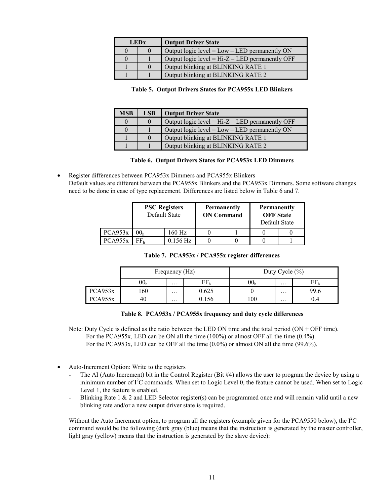| <b>LEDx</b> |  | <b>Output Driver State</b>                        |
|-------------|--|---------------------------------------------------|
|             |  | Output logic level = $Low - LED$ permanently ON   |
|             |  | Output logic level = $Hi-Z - LED$ permanently OFF |
|             |  | Output blinking at BLINKING RATE 1                |
|             |  | Output blinking at BLINKING RATE 2                |

#### **Table 5. Output Drivers States for PCA955x LED Blinkers**

| <b>MSB</b> | <b>LSB</b> | <b>Output Driver State</b>                        |
|------------|------------|---------------------------------------------------|
|            |            | Output logic level = $Hi-Z - LED$ permanently OFF |
|            |            | Output logic level = $Low - LED$ permanently ON   |
|            |            | Output blinking at BLINKING RATE 1                |
|            |            | Output blinking at BLINKING RATE 2                |

#### **Table 6. Output Drivers States for PCA953x LED Dimmers**

• Register differences between PCA953x Dimmers and PCA955x Blinkers Default values are different between the PCA955x Blinkers and the PCA953x Dimmers. Some software changes need to be done in case of type replacement. Differences are listed below in Table 6 and 7.

|         | <b>PSC</b> Registers<br>Default State |        | <b>Permanently</b><br><b>ON Command</b> | <b>Permanently</b><br><b>OFF</b> State<br>Default State |  |  |
|---------|---------------------------------------|--------|-----------------------------------------|---------------------------------------------------------|--|--|
| PCA953x | 00ь                                   | 160 Hz |                                         |                                                         |  |  |
| PCA955x | $0.156$ Hz                            |        |                                         |                                                         |  |  |

|  |  |  |  | Table 7. PCA953x / PCA955x register differences |
|--|--|--|--|-------------------------------------------------|
|--|--|--|--|-------------------------------------------------|

|         |                 | Frequency (Hz) |       | Duty Cycle $(\% )$ |          |      |
|---------|-----------------|----------------|-------|--------------------|----------|------|
|         | 00 <sub>h</sub> | $\cdots$       |       | 00r                | $\cdots$ |      |
| PCA953x | .60             | $\cdots$       | 0.625 |                    | $\cdots$ | 99.6 |
| PCA955x | 40              | $\cdots$       |       | 100                | $\cdots$ | 0.4  |

#### **Table 8. PCA953x / PCA955x frequency and duty cycle differences**

- Note: Duty Cycle is defined as the ratio between the LED ON time and the total period (ON + OFF time). For the PCA955x, LED can be ON all the time (100%) or almost OFF all the time (0.4%). For the PCA953x, LED can be OFF all the time  $(0.0\%)$  or almost ON all the time  $(99.6\%)$ .
- Auto-Increment Option: Write to the registers
	- The AI (Auto Increment) bit in the Control Register (Bit #4) allows the user to program the device by using a minimum number of  $I^2C$  commands. When set to Logic Level 0, the feature cannot be used. When set to Logic Level 1, the feature is enabled.
	- Blinking Rate 1 & 2 and LED Selector register(s) can be programmed once and will remain valid until a new blinking rate and/or a new output driver state is required.

Without the Auto Increment option, to program all the registers (example given for the PCA9550 below), the  $I<sup>2</sup>C$ command would be the following (dark gray (blue) means that the instruction is generated by the master controller, light gray (yellow) means that the instruction is generated by the slave device):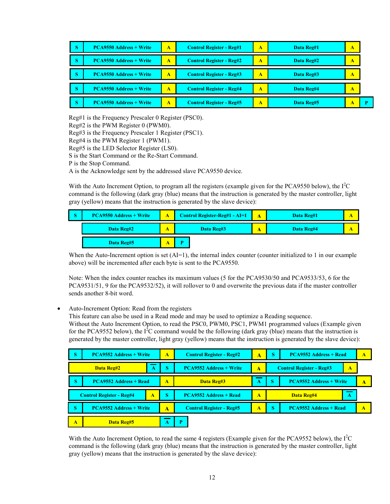| S | <b>PCA9550 Address + Write</b> | A | <b>Control Register - Reg#1</b> |   | Data Reg#1 | А |   |
|---|--------------------------------|---|---------------------------------|---|------------|---|---|
| S | <b>PCA9550 Address + Write</b> | A | <b>Control Register - Reg#2</b> | A | Data Reg#2 | Α |   |
| S | <b>PCA9550 Address + Write</b> | A | <b>Control Register - Reg#3</b> | A | Data Reg#3 | А |   |
| S | <b>PCA9550 Address + Write</b> | A | <b>Control Register - Reg#4</b> | A | Data Reg#4 | А |   |
| S | <b>PCA9550 Address + Write</b> | A | <b>Control Register - Reg#5</b> | A | Data Reg#5 |   | D |

Reg#1 is the Frequency Prescaler 0 Register (PSC0). Reg#2 is the PWM Register 0 (PWM0). Reg#3 is the Frequency Prescaler 1 Register (PSC1). Reg#4 is the PWM Register 1 (PWM1). Reg#5 is the LED Selector Register (LS0). S is the Start Command or the Re-Start Command. P is the Stop Command.

A is the Acknowledge sent by the addressed slave PCA9550 device.

With the Auto Increment Option, to program all the registers (example given for the PCA9550 below), the  $I<sup>2</sup>C$ command is the following (dark gray (blue) means that the instruction is generated by the master controller, light gray (yellow) means that the instruction is generated by the slave device):

| Ð | <b>PCA9550 Address + Write</b> | <b>Control Register-Reg#1 - AI=1</b> | Data Reg#1 |  |
|---|--------------------------------|--------------------------------------|------------|--|
|   | Data Reg#2                     | Data Reg#3                           | Data Reg#4 |  |
|   | Data Reg#5                     |                                      |            |  |

When the Auto-Increment option is set (AI=1), the internal index counter (counter initialized to 1 in our example above) will be incremented after each byte is sent to the PCA9550.

Note: When the index counter reaches its maximum values (5 for the PCA9530/50 and PCA9533/53, 6 for the PCA9531/51, 9 for the PCA9532/52), it will rollover to 0 and overwrite the previous data if the master controller sends another 8-bit word.

• Auto-Increment Option: Read from the registers

This feature can also be used in a Read mode and may be used to optimize a Reading sequence.

Without the Auto Increment Option, to read the PSC0, PWM0, PSC1, PWM1 programmed values (Example given for the PCA9552 below), the  $I<sup>2</sup>C$  command would be the following (dark gray (blue) means that the instruction is generated by the master controller, light gray (yellow) means that the instruction is generated by the slave device):

| $\overline{\mathbf{S}}$ | <b>PCA9552 Address + Write</b>  |   | A                | <b>Control Register - Reg#2</b> | Δ                | S                                    | <b>PCA9552 Address + Read</b> | А |
|-------------------------|---------------------------------|---|------------------|---------------------------------|------------------|--------------------------------------|-------------------------------|---|
|                         | Data Reg#2                      | А | S                | <b>PCA9552 Address + Write</b>  | Δ                | <b>Control Register - Reg#3</b><br>A |                               |   |
| S                       | <b>PCA9552 Address + Read</b>   |   | A                | Data Reg#3                      | А                | S<br><b>PCA9552 Address + Write</b>  |                               | А |
|                         |                                 |   |                  |                                 |                  | Data Reg#4<br>А                      |                               |   |
|                         | <b>Control Register - Reg#4</b> | А | S                | <b>PCA9552 Address + Read</b>   | $\blacktriangle$ |                                      |                               |   |
| S.                      | <b>PCA9552 Address + Write</b>  |   | $\blacktriangle$ | <b>Control Register - Reg#5</b> | A                | <sub>S</sub>                         | <b>PCA9552 Address + Read</b> | A |

With the Auto Increment Option, to read the same 4 registers (Example given for the PCA9552 below), the  $I<sup>2</sup>C$ command is the following (dark gray (blue) means that the instruction is generated by the master controller, light gray (yellow) means that the instruction is generated by the slave device):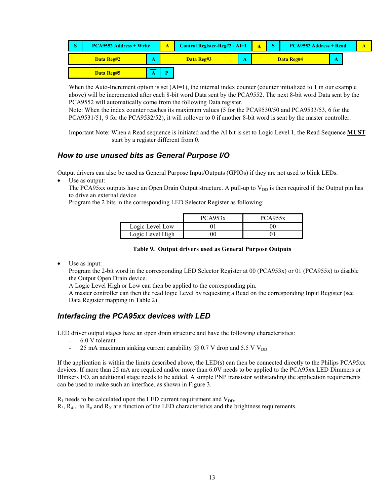<span id="page-12-0"></span>

When the Auto-Increment option is set  $(AI=1)$ , the internal index counter (counter initialized to 1 in our example above) will be incremented after each 8-bit word Data sent by the PCA9552. The next 8-bit word Data sent by the PCA9552 will automatically come from the following Data register.

Note: When the index counter reaches its maximum values (5 for the PCA9530/50 and PCA9533/53, 6 for the PCA9531/51, 9 for the PCA9532/52), it will rollover to 0 if another 8-bit word is sent by the master controller.

Important Note: When a Read sequence is initiated and the AI bit is set to Logic Level 1, the Read Sequence **MUST** start by a register different from 0.

### *How to use unused bits as General Purpose I/O*

Output drivers can also be used as General Purpose Input/Outputs (GPIOs) if they are not used to blink LEDs.

Use as output:

The PCA95xx outputs have an Open Drain Output structure. A pull-up to  $V_{DD}$  is then required if the Output pin has to drive an external device.

Program the 2 bits in the corresponding LED Selector Register as following:

|                  | PCA953x | PCA955x |
|------------------|---------|---------|
| Logic Level Low  |         | ОC      |
| Logic Level High | 90      |         |

#### **Table 9. Output drivers used as General Purpose Outputs**

Use as input:

Program the 2-bit word in the corresponding LED Selector Register at 00 (PCA953x) or 01 (PCA955x) to disable the Output Open Drain device.

A Logic Level High or Low can then be applied to the corresponding pin.

A master controller can then the read logic Level by requesting a Read on the corresponding Input Register (see Data Register mapping in Table 2)

## *Interfacing the PCA95xx devices with LED*

LED driver output stages have an open drain structure and have the following characteristics:

- 6.0 V tolerant
- 25 mA maximum sinking current capability  $(a)$  0.7 V drop and 5.5 V V<sub>DD</sub>

If the application is within the limits described above, the LED(s) can then be connected directly to the Philips PCA95xx devices. If more than 25 mA are required and/or more than 6.0V needs to be applied to the PCA95xx LED Dimmers or Blinkers I/O, an additional stage needs to be added. A simple PNP transistor withstanding the application requirements can be used to make such an interface, as shown in Figure 3.

 $R_1$  needs to be calculated upon the LED current requirement and  $V_{DD}$ .  $R_3$ ,  $R_4$ ... to  $R_n$  and  $R_X$  are function of the LED characteristics and the brightness requirements.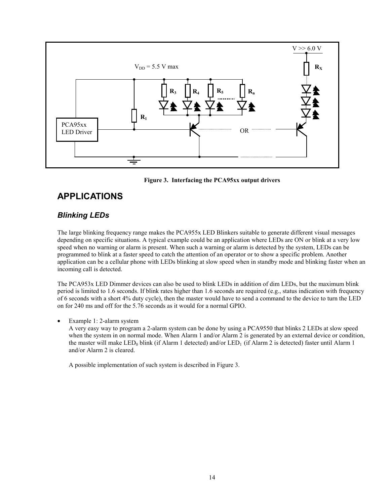<span id="page-13-0"></span>

#### **Figure 3. Interfacing the PCA95xx output drivers**

# **APPLICATIONS**

# *Blinking LEDs*

The large blinking frequency range makes the PCA955x LED Blinkers suitable to generate different visual messages depending on specific situations. A typical example could be an application where LEDs are ON or blink at a very low speed when no warning or alarm is present. When such a warning or alarm is detected by the system, LEDs can be programmed to blink at a faster speed to catch the attention of an operator or to show a specific problem. Another application can be a cellular phone with LEDs blinking at slow speed when in standby mode and blinking faster when an incoming call is detected.

The PCA953x LED Dimmer devices can also be used to blink LEDs in addition of dim LEDs, but the maximum blink period is limited to 1.6 seconds. If blink rates higher than 1.6 seconds are required (e.g., status indication with frequency of 6 seconds with a short 4% duty cycle), then the master would have to send a command to the device to turn the LED on for 240 ms and off for the 5.76 seconds as it would for a normal GPIO.

#### • Example 1: 2-alarm system

A very easy way to program a 2-alarm system can be done by using a PCA9550 that blinks 2 LEDs at slow speed when the system in on normal mode. When Alarm 1 and/or Alarm 2 is generated by an external device or condition, the master will make LED<sub>0</sub> blink (if Alarm 1 detected) and/or LED<sub>1</sub> (if Alarm 2 is detected) faster until Alarm 1 and/or Alarm 2 is cleared.

A possible implementation of such system is described in Figure 3.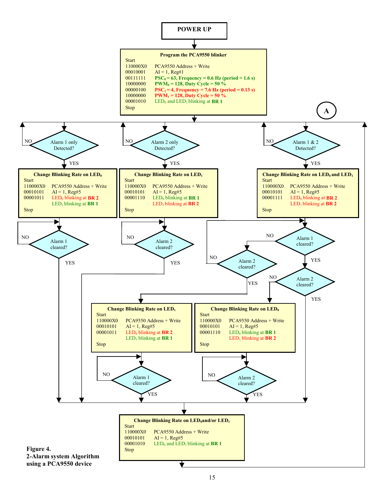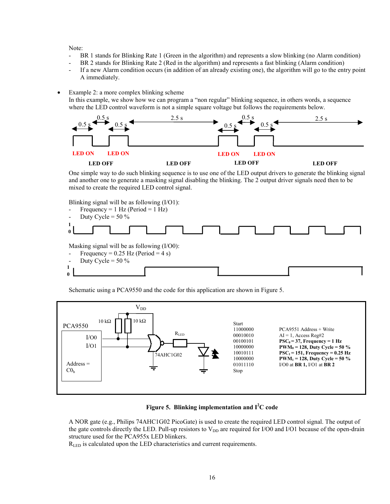Note:

**0**

- BR 1 stands for Blinking Rate 1 (Green in the algorithm) and represents a slow blinking (no Alarm condition)
- BR 2 stands for Blinking Rate 2 (Red in the algorithm) and represents a fast blinking (Alarm condition)
- If a new Alarm condition occurs (in addition of an already existing one), the algorithm will go to the entry point A immediately.
- Example 2: a more complex blinking scheme

In this example, we show how we can program a "non regular" blinking sequence, in others words, a sequence where the LED control waveform is not a simple square voltage but follows the requirements below.



One simple way to do such blinking sequence is to use one of the LED output drivers to generate the blinking signal and another one to generate a masking signal disabling the blinking. The 2 output driver signals need then to be mixed to create the required LED control signal.

Blinking signal will be as following (I/O1):

- Frequency =  $1$  Hz (Period =  $1$  Hz) Duty Cycle =  $50\%$ Masking signal will be as following (I/O0): Frequency =  $0.25$  Hz (Period = 4 s) Duty Cycle =  $50\%$ **1 0 1**

Schematic using a PCA9550 and the code for this application are shown in Figure 5.





A NOR gate (e.g., Philips 74AHC1G02 PicoGate) is used to create the required LED control signal. The output of the gate controls directly the LED. Pull-up resistors to  $V_{DD}$  are required for I/O0 and I/O1 because of the open-drain structure used for the PCA955x LED blinkers.

R<sub>LED</sub> is calculated upon the LED characteristics and current requirements.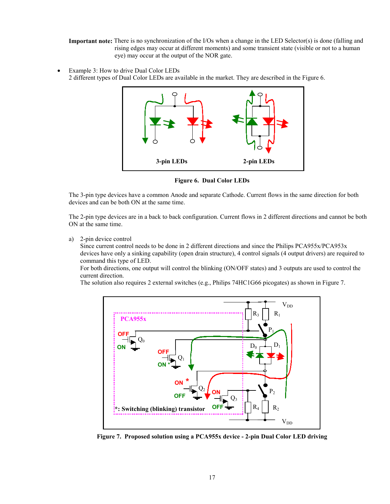**Important note:** There is no synchronization of the I/Os when a change in the LED Selector(s) is done (falling and rising edges may occur at different moments) and some transient state (visible or not to a human eye) may occur at the output of the NOR gate.

Example 3: How to drive Dual Color LEDs 2 different types of Dual Color LEDs are available in the market. They are described in the Figure 6.



**Figure 6. Dual Color LEDs**

The 3-pin type devices have a common Anode and separate Cathode. Current flows in the same direction for both devices and can be both ON at the same time.

The 2-pin type devices are in a back to back configuration. Current flows in 2 different directions and cannot be both ON at the same time.

a) 2-pin device control

Since current control needs to be done in 2 different directions and since the Philips PCA955x/PCA953x devices have only a sinking capability (open drain structure), 4 control signals (4 output drivers) are required to command this type of LED.

For both directions, one output will control the blinking (ON/OFF states) and 3 outputs are used to control the current direction.

The solution also requires 2 external switches (e.g., Philips 74HC1G66 picogates) as shown in Figure 7.



**Figure 7. Proposed solution using a PCA955x device - 2-pin Dual Color LED driving**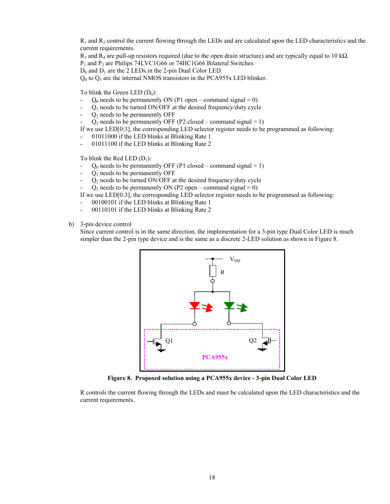$R_1$  and  $R_2$  control the current flowing through the LEDs and are calculated upon the LED characteristics and the current requirements.

 $R_3$  and  $R_4$  are pull-up resistors required (due to the open drain structure) and are typically equal to 10 k $\Omega$ .

P<sub>1</sub> and P<sub>2</sub> are Philips 74LVC1G66 or 74HC1G66 Bilateral Switches.

 $D_0$  and  $D_1$  are the 2 LEDs in the 2-pin Dual Color LED.

 $Q_0$  to  $Q_3$  are the internal NMOS transistors in the PCA955x LED blinker.

To blink the Green LED  $(D_0)$ :

- $Q_0$  needs to be permanently ON (P1 open command signal = 0)
- $Q_1$  needs to be turned ON/OFF at the desired frequency/duty cycle
- $Q_2$  needs to be permanently OFF
- $Q_3$  needs to be permanently OFF (P2 closed command signal = 1)

If we use LED[0:3], the corresponding LED selector register needs to be programmed as following:

- 01011000 if the LED blinks at Blinking Rate 1
- 01011100 if the LED blinks at Blinking Rate 2

To blink the Red LED  $(D_1)$ :

- $Q_0$  needs to be permanently OFF (P1 closed command signal = 1)
- $Q_1$  needs to be permanently OFF
- $Q_2$  needs to be turned ON/OFF at the desired frequency/duty cycle
- $Q_3$  needs to be permanently ON (P2 open command signal = 0)

If we use LED[0:3], the corresponding LED selector register needs to be programmed as following:

- 00100101 if the LED blinks at Blinking Rate 1
- 00110101 if the LED blinks at Blinking Rate 2
- b) 3-pin device control

Since current control is in the same direction, the implementation for a 3-pin type Dual Color LED is much simpler than the 2-pin type device and is the same as a discrete 2-LED solution as shown in Figure 8.



**Figure 8. Proposed solution using a PCA955x device - 3-pin Dual Color LED**

R controls the current flowing through the LEDs and must be calculated upon the LED characteristics and the current requirements.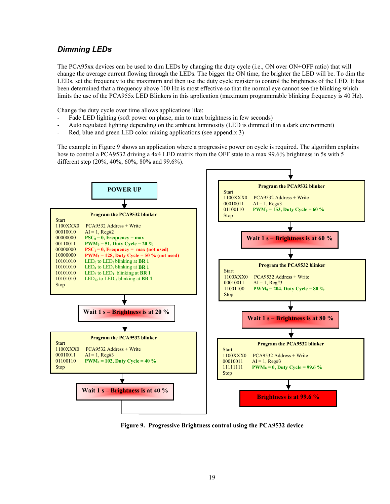# <span id="page-18-0"></span>*Dimming LEDs*

The PCA95xx devices can be used to dim LEDs by changing the duty cycle (i.e., ON over ON+OFF ratio) that will change the average current flowing through the LEDs. The bigger the ON time, the brighter the LED will be. To dim the LEDs, set the frequency to the maximum and then use the duty cycle register to control the brightness of the LED. It has been determined that a frequency above 100 Hz is most effective so that the normal eye cannot see the blinking which limits the use of the PCA955x LED Blinkers in this application (maximum programmable blinking frequency is 40 Hz).

Change the duty cycle over time allows applications like:

- Fade LED lighting (soft power on phase, min to max brightness in few seconds)
- Auto regulated lighting depending on the ambient luminosity (LED is dimmed if in a dark environment)
- Red, blue and green LED color mixing applications (see appendix 3)

The example in Figure 9 shows an application where a progressive power on cycle is required. The algorithm explains how to control a PCA9532 driving a 4x4 LED matrix from the OFF state to a max 99.6% brightness in 5s with 5 different step (20%, 40%, 60%, 80% and 99.6%).



**Figure 9. Progressive Brightness control using the PCA9532 device**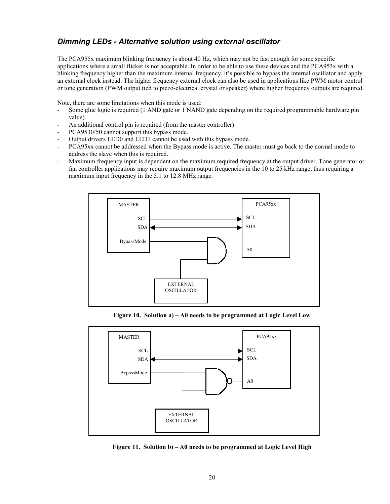# <span id="page-19-0"></span>*Dimming LEDs - Alternative solution using external oscillator*

The PCA955x maximum blinking frequency is about 40 Hz, which may not be fast enough for some specific applications where a small flicker is not acceptable. In order to be able to use these devices and the PCA953x with a blinking frequency higher than the maximum internal frequency, it's possible to bypass the internal oscillator and apply an external clock instead. The higher frequency external clock can also be used in applications like PWM motor control or tone generation (PWM output tied to piezo-electrical crystal or speaker) where higher frequency outputs are required.

Note, there are some limitations when this mode is used:

- Some glue logic is required (1 AND gate or 1 NAND gate depending on the required programmable hardware pin value).
- An additional control pin is required (from the master controller).
- PCA9530/50 cannot support this bypass mode.
- Output drivers LED0 and LED1 cannot be used with this bypass mode.
- PCA95xx cannot be addressed when the Bypass mode is active. The master must go back to the normal mode to address the slave when this is required.
- Maximum frequency input is dependent on the maximum required frequency at the output driver. Tone generator or fan controller applications may require maximum output frequencies in the 10 to 25 kHz range, thus requiring a maximum input frequency in the 5.1 to 12.8 MHz range.



**Figure 10. Solution a) – A0 needs to be programmed at Logic Level Low**



**Figure 11. Solution b) – A0 needs to be programmed at Logic Level High**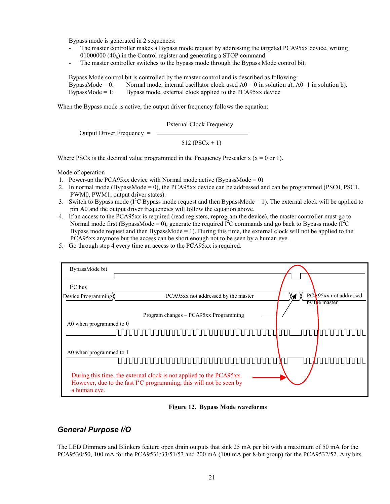<span id="page-20-0"></span>Bypass mode is generated in 2 sequences:

- The master controller makes a Bypass mode request by addressing the targeted PCA95xx device, writing 01000000  $(40<sub>h</sub>)$  in the Control register and generating a STOP command.
- The master controller switches to the bypass mode through the Bypass Mode control bit.

Bypass Mode control bit is controlled by the master control and is described as following: BypassMode = 0: Normal mode, internal oscillator clock used  $A0 = 0$  in solution a),  $A0=1$  in solution b). BypassMode =  $1$ : Bypass mode, external clock applied to the PCA95xx device

When the Bypass mode is active, the output driver frequency follows the equation:

External Clock Frequency

Output Driver Frequency =

512 (PSCx + 1)

Where PSCx is the decimal value programmed in the Frequency Prescaler  $x (x = 0 \text{ or } 1)$ .

Mode of operation

- 1. Power-up the PCA95xx device with Normal mode active (BypassMode =  $0$ )
- 2. In normal mode (BypassMode = 0), the PCA95xx device can be addressed and can be programmed (PSC0, PSC1, PWM0, PWM1, output driver states).
- 3. Switch to Bypass mode ( $I^2C$  Bypass mode request and then BypassMode = 1). The external clock will be applied to pin A0 and the output driver frequencies will follow the equation above.
- 4. If an access to the PCA95xx is required (read registers, reprogram the device), the master controller must go to Normal mode first (BypassMode = 0), generate the required  $\vec{l}^2C$  commands and go back to Bypass mode ( $\vec{l}^2C$ Bypass mode request and then BypassMode  $= 1$ ). During this time, the external clock will not be applied to the PCA95xx anymore but the access can be short enough not to be seen by a human eye.
- 5. Go through step 4 every time an access to the PCA95xx is required.

| BypassMode bit          |                                                                                                                                              |      |                          |
|-------------------------|----------------------------------------------------------------------------------------------------------------------------------------------|------|--------------------------|
|                         |                                                                                                                                              |      |                          |
| $I^2C$ bus              |                                                                                                                                              |      |                          |
| Device Programming      | PCA95xx not addressed by the master                                                                                                          |      | PCA95xx not addressed    |
|                         |                                                                                                                                              |      | by the master            |
|                         | Program changes – PCA95xx Programming                                                                                                        |      |                          |
| A0 when programmed to 0 |                                                                                                                                              |      |                          |
|                         | ∏∏∏∏∏<br>unnn<br>N N N N N N N                                                                                                               | nnnn |                          |
|                         |                                                                                                                                              |      |                          |
| A0 when programmed to 1 |                                                                                                                                              |      |                          |
|                         | OOOOO                                                                                                                                        |      | ヿヿ <b>ゖ゙゙゚゚゚゚゚ヿヿヿヿ</b> ゖ |
|                         |                                                                                                                                              |      |                          |
|                         | During this time, the external clock is not applied to the PCA95xx.<br>However, due to the fast $I^2C$ programming, this will not be seen by |      |                          |
| a human eye.            |                                                                                                                                              |      |                          |

**Figure 12. Bypass Mode waveforms**

## *General Purpose I/O*

The LED Dimmers and Blinkers feature open drain outputs that sink 25 mA per bit with a maximum of 50 mA for the PCA9530/50, 100 mA for the PCA9531/33/51/53 and 200 mA (100 mA per 8-bit group) for the PCA9532/52. Any bits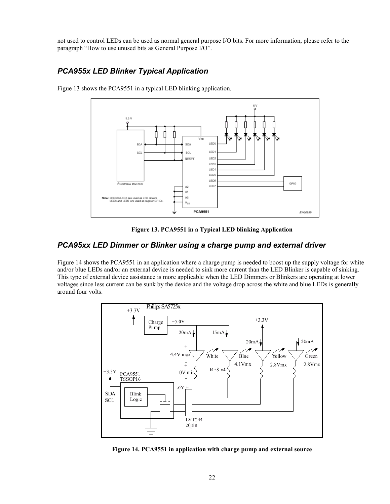<span id="page-21-0"></span>not used to control LEDs can be used as normal general purpose I/O bits. For more information, please refer to the paragraph "How to use unused bits as General Purpose I/O".

# *PCA955x LED Blinker Typical Application*



Figue 13 shows the PCA9551 in a typical LED blinking application.

**Figure 13. PCA9551 in a Typical LED blinking Application**

### *PCA95xx LED Dimmer or Blinker using a charge pump and external driver*

Figure 14 shows the PCA9551 in an application where a charge pump is needed to boost up the supply voltage for white and/or blue LEDs and/or an external device is needed to sink more current than the LED Blinker is capable of sinking. This type of external device assistance is more applicable when the LED Dimmers or Blinkers are operating at lower voltages since less current can be sunk by the device and the voltage drop across the white and blue LEDs is generally around four volts.



**Figure 14. PCA9551 in application with charge pump and external source**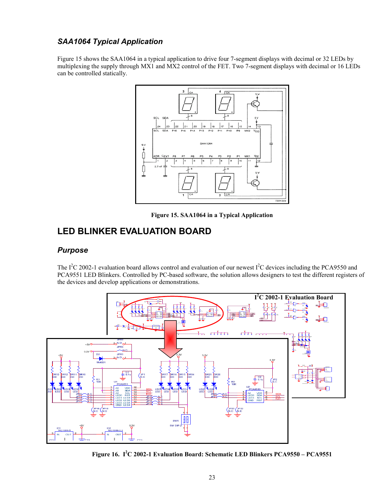# <span id="page-22-0"></span>*SAA1064 Typical Application*

Figure 15 shows the SAA1064 in a typical application to drive four 7-segment displays with decimal or 32 LEDs by multiplexing the supply through MX1 and MX2 control of the FET. Two 7-segment displays with decimal or 16 LEDs can be controlled statically.



**Figure 15. SAA1064 in a Typical Application**

# **LED BLINKER EVALUATION BOARD**

### *Purpose*

The  $I^2C$  2002-1 evaluation board allows control and evaluation of our newest  $I^2C$  devices including the PCA9550 and PCA9551 LED Blinkers. Controlled by PC-based software, the solution allows designers to test the different registers of the devices and develop applications or demonstrations.



**Figure 16. I2 C 2002-1 Evaluation Board: Schematic LED Blinkers PCA9550 – PCA9551**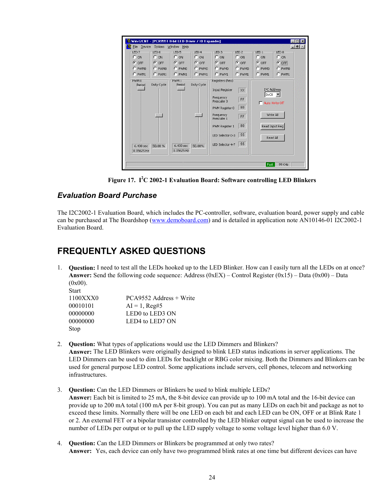<span id="page-23-0"></span>

| Win-I2CNT - [PCA9551 8-bit LED Driver / IO Expander]<br>WУ<br>File<br>Device                                              | Options Window Help                                                                                                           |                                                                                                                                                                                                                    |                                                                                                    | $\blacksquare$ $\blacksquare$ $\times$<br>$-10$ $\times$ |
|---------------------------------------------------------------------------------------------------------------------------|-------------------------------------------------------------------------------------------------------------------------------|--------------------------------------------------------------------------------------------------------------------------------------------------------------------------------------------------------------------|----------------------------------------------------------------------------------------------------|----------------------------------------------------------|
| LED <sub>7</sub><br>LED 6<br>C.<br>$C_{ON}$<br>ON<br>$G$ OFF<br><b>COFF</b><br>$C$ PWM0<br>C PWM0<br>$C$ PWM1<br>$C$ PWM1 | LED <sub>5</sub><br>$LED$ 4<br>$C_{ON}$<br>$\sim$ ON<br>$G$ OFF<br>$G$ OFF<br>$C$ PWM0<br>C.<br>PWM0<br>O<br>$C$ PWM1<br>PWM1 | LED <sub>3</sub><br>LED <sub>2</sub> -<br>$\sim$ ON<br>$\cap$ ON<br>$G$ OFF<br>$G$ OFF<br>C PWM0<br>$C$ PWM0<br>C PWM1<br>$C$ PWM1                                                                                 | EDD1<br>$\cap$ ON<br>$C$ OFF<br>C PWM0<br>C PWM1                                                   | LED 0<br>$C$ ON<br>OFF<br>G.<br>C PWM0<br>C PWM1         |
| PWM 0<br>Duty Cycle<br>Period<br>50.00%<br>$6.400$ sec<br>0.15625 Hz                                                      | PWM 1<br>Duty Cycle<br>Period<br>$6.400$ sec<br>50.00%<br>0.15625 Hz                                                          | Registers (hex):<br>Input Register<br>XX.<br>Frequency<br>FF.<br>Prescaler 0<br>80<br>PWM Register 0<br>Frequency<br>FF<br>Prescaler 1<br>80<br>PWM Register 1<br>55<br>LED Selector 0-3<br>55<br>LED Selector 4-7 | I <sup>2</sup> C Address<br>$0 \times C0$ $\rightarrow$<br>Write All<br>Read Input Reg<br>Read All | Auto Write Off                                           |
|                                                                                                                           |                                                                                                                               |                                                                                                                                                                                                                    | Fast                                                                                               | 99 KHz                                                   |

**Figure 17. I2 C 2002-1 Evaluation Board: Software controlling LED Blinkers**

### *Evaluation Board Purchase*

The I2C2002-1 Evaluation Board, which includes the PC-controller, software, evaluation board, power supply and cable can be purchased at The Boardshop ([www.demoboard.com\)](http://www.demoboard.com/) and is detailed in application note AN10146-01 I2C2002-1 Evaluation Board.

# **FREQUENTLY ASKED QUESTIONS**

1. **Question:** I need to test all the LEDs hooked up to the LED Blinker. How can I easily turn all the LEDs on at once? **Answer:** Send the following code sequence: Address (0xEX) – Control Register (0x15) – Data (0x00) – Data  $(0x00)$ .

| <b>Start</b> |                                         |
|--------------|-----------------------------------------|
| 1100XXX0     | PCA9552 Address + Write                 |
| 00010101     | $AI = 1$ , Reg#5                        |
| 00000000     | LED0 to LED3 ON                         |
| 00000000     | LED <sub>4</sub> to LED <sub>7</sub> ON |
| Stop         |                                         |

- 2. **Question:** What types of applications would use the LED Dimmers and Blinkers? **Answer:** The LED Blinkers were originally designed to blink LED status indications in server applications. The LED Dimmers can be used to dim LEDs for backlight or RBG color mixing. Both the Dimmers and Blinkers can be used for general purpose LED control. Some applications include servers, cell phones, telecom and networking infrastructures.
- 3. **Question:** Can the LED Dimmers or Blinkers be used to blink multiple LEDs? **Answer:** Each bit is limited to 25 mA, the 8-bit device can provide up to 100 mA total and the 16-bit device can provide up to 200 mA total (100 mA per 8-bit group). You can put as many LEDs on each bit and package as not to exceed these limits. Normally there will be one LED on each bit and each LED can be ON, OFF or at Blink Rate 1 or 2. An external FET or a bipolar transistor controlled by the LED blinker output signal can be used to increase the number of LEDs per output or to pull up the LED supply voltage to some voltage level higher than 6.0 V.
- 4. **Question:** Can the LED Dimmers or Blinkers be programmed at only two rates? **Answer:** Yes, each device can only have two programmed blink rates at one time but different devices can have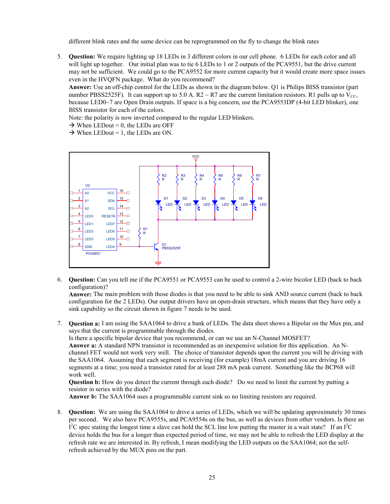different blink rates and the same device can be reprogrammed on the fly to change the blink rates

5. **Question:** We require lighting up 18 LEDs in 3 different colors in our cell phone. 6 LEDs for each color and all will light up together. Our initial plan was to tie 6 LEDs to 1 or 2 outputs of the PCA9551, but the drive current may not be sufficient. We could go to the PCA9552 for more current capacity but it would create more space issues even in the HVQFN package. What do you recommend?

**Answer:** Use an off-chip control for the LEDs as shown in the diagram below. Q1 is Philips BISS transistor (part number PBSS2525F). It can support up to 5.0 A. R2  $\sim$  R7 are the current limitation resistors. R1 pulls up to V<sub>CC</sub>, because LED0~7 are Open Drain outputs. If space is a big concern, use the PCA9553DP (4-bit LED blinker), one BISS transistor for each of the colors.

Note: the polarity is now inverted compared to the regular LED blinkers.

 $\rightarrow$  When LEDout = 0, the LEDs are OFF

 $\rightarrow$  When LEDout = 1, the LEDs are ON.



6. **Question:** Can you tell me if the PCA9551 or PCA9553 can be used to control a 2-wire bicolor LED (back to back configuration)?

**Answer:** The main problem with those diodes is that you need to be able to sink AND source current (back to back configuration for the 2 LEDs). Our output drivers have an open-drain structure, which means that they have only a sink capability so the circuit shown in figure 7 needs to be used.

7. **Question a:** I am using the SAA1064 to drive a bank of LEDs. The data sheet shows a Bipolar on the Mux pin, and says that the current is programmable through the diodes.

Is there a specific bipolar device that you recommend, or can we use an N-Channel MOSFET?

**Answer a:** A standard NPN transistor is recommended as an inexpensive solution for this application. An Nchannel FET would not work very well. The choice of transistor depends upon the current you will be driving with the SAA1064. Assuming that each segment is receiving (for example) 18mA current and you are driving 16 segments at a time; you need a transistor rated for at least 288 mA peak current. Something like the BCP68 will work well.

**Question b:** How do you detect the current through each diode? Do we need to limit the current by putting a resistor in series with the diode?

**Answer b:** The SAA1064 uses a programmable current sink so no limiting resistors are required.

8. **Question:** We are using the SAA1064 to drive a series of LEDs, which we will be updating approximately 30 times per second. We also have PCA9555s, and PCA9554s on the bus, as well as devices from other vendors. Is there an  $I<sup>2</sup>C$  spec stating the longest time a slave can hold the SCL line low putting the master in a wait state? If an  $I<sup>2</sup>C$ device holds the bus for a longer than expected period of time, we may not be able to refresh the LED display at the refresh rate we are interested in. By refresh, I mean modifying the LED outputs on the SAA1064; not the selfrefresh achieved by the MUX pins on the part.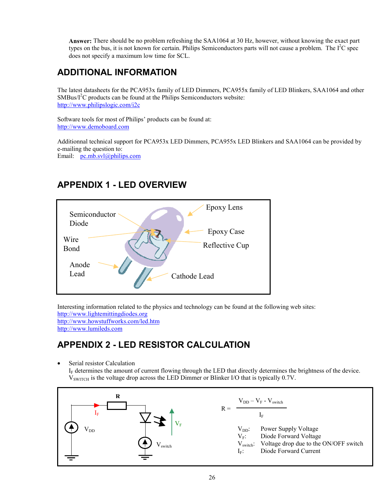<span id="page-25-0"></span>**Answer:** There should be no problem refreshing the SAA1064 at 30 Hz, however, without knowing the exact part types on the bus, it is not known for certain. Philips Semiconductors parts will not cause a problem. The  $I<sup>2</sup>C$  spec does not specify a maximum low time for SCL.

# **ADDITIONAL INFORMATION**

The latest datasheets for the PCA953x family of LED Dimmers, PCA955x family of LED Blinkers, SAA1064 and other  $SMBus/I<sup>2</sup>C$  products can be found at the Philips Semiconductors website: [http://www.philipslogic.com/i2c](http://www.philipslogic.com/)

Software tools for most of Philips' products can be found at: [http://www.demoboard.com](http://www.demoboard.com/)

Additionnal technical support for PCA953x LED Dimmers, PCA955x LED Blinkers and SAA1064 can be provided by e-mailing the question to: Email: [pc.mb.svl@philips.com](mailto:jean-marc.irazabal@philips.com)

Wire Bond Anode Lead Cathode Lead Epoxy Case Epoxy Lens Semiconductor Diode Reflective Cup

# **APPENDIX 1 - LED OVERVIEW**

Interesting information related to the physics and technology can be found at the following web sites: [http://www.lightemittingdiodes.org](http://www.lightemittingdiodes.org/)

<http://www.howstuffworks.com/led.htm> [http://www.lumileds.com](http://www.lumileds.com/)

# **APPENDIX 2 - LED RESISTOR CALCULATION**

• Serial resistor Calculation

IF determines the amount of current flowing through the LED that directly determines the brightness of the device.  $V<sub>SWITCH</sub>$  is the voltage drop across the LED Dimmer or Blinker I/O that is typically 0.7V.